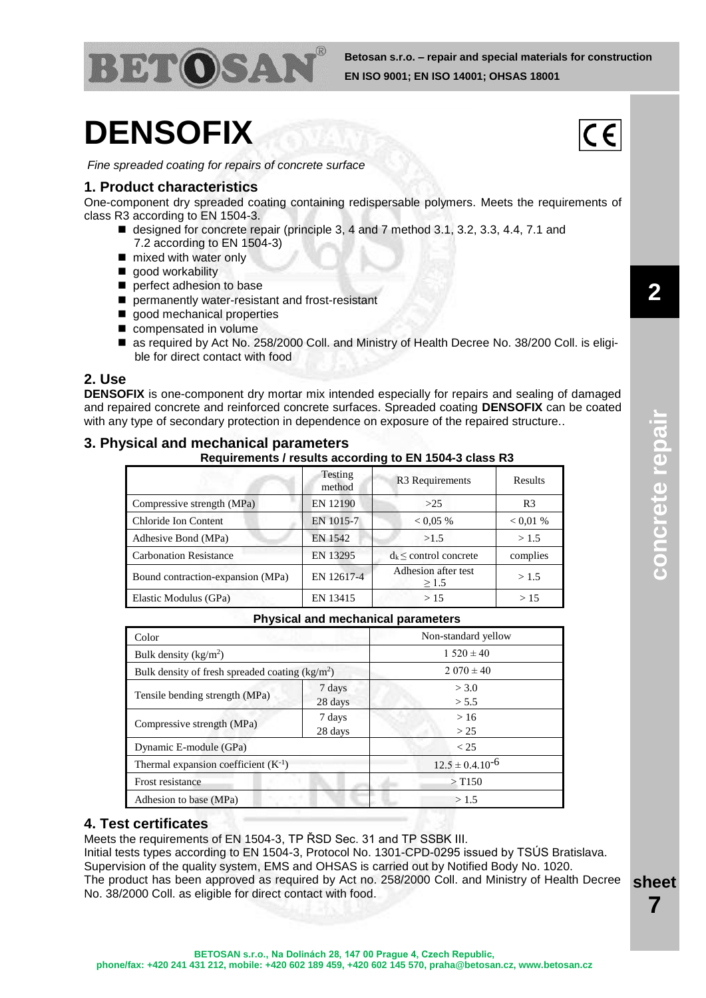

# **DENSOFIX**

*Fine spreaded coating for repairs of concrete surface*

## **1. Product characteristics**

One-component dry spreaded coating containing redispersable polymers. Meets the requirements of class R3 according to EN 1504-3.

- designed for concrete repair (principle 3, 4 and 7 method 3.1, 3.2, 3.3, 4.4, 7.1 and 7.2 according to EN 1504-3)
- mixed with water only
- qood workability
- perfect adhesion to base
- permanently water-resistant and frost-resistant
- good mechanical properties
- compensated in volume
- as required by Act No. 258/2000 Coll. and Ministry of Health Decree No. 38/200 Coll. is eligible for direct contact with food

## **2. Use**

**DENSOFIX** is one-component dry mortar mix intended especially for repairs and sealing of damaged and repaired concrete and reinforced concrete surfaces. Spreaded coating **DENSOFIX** can be coated with any type of secondary protection in dependence on exposure of the repaired structure..

## **3. Physical and mechanical parameters**

**Requirements / results according to EN 1504-3 class R3**

|                                   | Testing<br>method | R <sub>3</sub> Requirements       | <b>Results</b> |
|-----------------------------------|-------------------|-----------------------------------|----------------|
| Compressive strength (MPa)        | EN 12190          | >25                               | R <sub>3</sub> |
| Chloride Ion Content              | EN 1015-7         | < 0.05 %                          | $0.01\%$       |
| Adhesive Bond (MPa)               | EN 1542           | >1.5                              | >1.5           |
| <b>Carbonation Resistance</b>     | EN 13295          | $d_k \le$ control concrete        | complies       |
| Bound contraction-expansion (MPa) | EN 12617-4        | Adhesion after test<br>$\geq$ 1.5 | >1.5           |
| Elastic Modulus (GPa)             | EN 13415          | >15                               | >15            |

#### **Physical and mechanical parameters**

| Color                                            |         | Non-standard yellow    |  |  |
|--------------------------------------------------|---------|------------------------|--|--|
| Bulk density $(kg/m2)$                           |         | $1.520 \pm 40$         |  |  |
| Bulk density of fresh spreaded coating $(kg/m2)$ |         | $2.070 \pm 40$         |  |  |
| Tensile bending strength (MPa)                   | 7 days  | > 3.0                  |  |  |
|                                                  | 28 days | > 5.5                  |  |  |
| Compressive strength (MPa)                       | 7 days  | >16                    |  |  |
|                                                  | 28 days | > 25                   |  |  |
| Dynamic E-module (GPa)                           |         | < 25                   |  |  |
| Thermal expansion coefficient $(K^{-1})$         |         | $12.5 \pm 0.4.10^{-6}$ |  |  |
| Frost resistance                                 |         | $>$ T150               |  |  |
| Adhesion to base (MPa)                           |         | >1.5                   |  |  |

## **4. Test certificates**

Meets the requirements of EN 1504-3, TP ŘSD Sec. 31 and TP SSBK III. Initial tests types according to EN 1504-3, Protocol No. 1301-CPD-0295 issued by TSÚS Bratislava. Supervision of the quality system, EMS and OHSAS is carried out by Notified Body No. 1020. The product has been approved as required by Act no. 258/2000 Coll. and Ministry of Health Decree No. 38/2000 Coll. as eligible for direct contact with food.

 $C \in$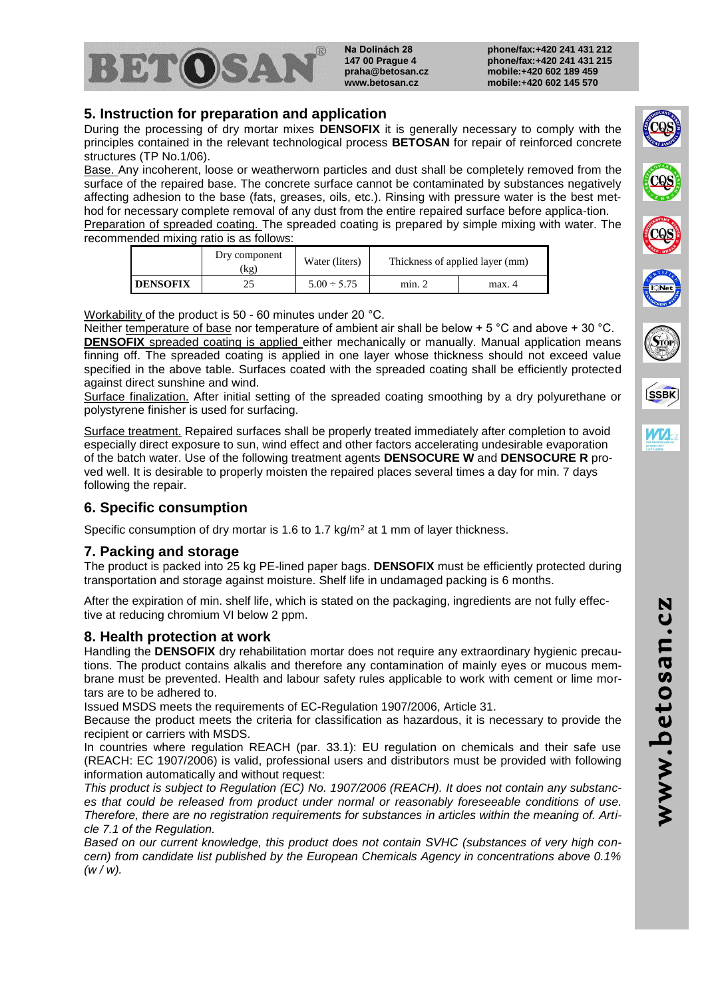

**Na Dolinách 28 147 00 Prague 4 praha@betosan.cz www.betosan.cz**

**phone/fax:+420 241 431 212 phone/fax:+420 241 431 215 mobile:+420 602 189 459 mobile:+420 602 145 570**

# **5. Instruction for preparation and application**

During the processing of dry mortar mixes **DENSOFIX** it is generally necessary to comply with the principles contained in the relevant technological process **BETOSAN** for repair of reinforced concrete structures (TP No.1/06).

Base. Any incoherent, loose or weatherworn particles and dust shall be completely removed from the surface of the repaired base. The concrete surface cannot be contaminated by substances negatively affecting adhesion to the base (fats, greases, oils, etc.). Rinsing with pressure water is the best method for necessary complete removal of any dust from the entire repaired surface before applica-tion. Preparation of spreaded coating. The spreaded coating is prepared by simple mixing with water. The

recommended mixing ratio is as follows:

|                 | Dry component<br>(kg | Water (liters)   |        | Thickness of applied layer (mm) |
|-----------------|----------------------|------------------|--------|---------------------------------|
| <b>DENSOFIX</b> |                      | $5.00 \div 5.75$ | min. 2 | max. 4                          |

Workability of the product is 50 - 60 minutes under 20 °C.

Neither temperature of base nor temperature of ambient air shall be below  $+5^{\circ}$ C and above  $+30^{\circ}$ C. **DENSOFIX** spreaded coating is applied either mechanically or manually. Manual application means finning off. The spreaded coating is applied in one layer whose thickness should not exceed value specified in the above table. Surfaces coated with the spreaded coating shall be efficiently protected against direct sunshine and wind.

Surface finalization. After initial setting of the spreaded coating smoothing by a dry polyurethane or polystyrene finisher is used for surfacing.

Surface treatment. Repaired surfaces shall be properly treated immediately after completion to avoid especially direct exposure to sun, wind effect and other factors accelerating undesirable evaporation of the batch water. Use of the following treatment agents **DENSOCURE W** and **DENSOCURE R** proved well. It is desirable to properly moisten the repaired places several times a day for min. 7 days following the repair.

# **6. Specific consumption**

Specific consumption of dry mortar is 1.6 to 1.7 kg/m<sup>2</sup> at 1 mm of layer thickness.

# **7. Packing and storage**

The product is packed into 25 kg PE-lined paper bags. **DENSOFIX** must be efficiently protected during transportation and storage against moisture. Shelf life in undamaged packing is 6 months.

After the expiration of min. shelf life, which is stated on the packaging, ingredients are not fully effective at reducing chromium VI below 2 ppm.

## **8. Health protection at work**

Handling the **DENSOFIX** dry rehabilitation mortar does not require any extraordinary hygienic precautions. The product contains alkalis and therefore any contamination of mainly eyes or mucous membrane must be prevented. Health and labour safety rules applicable to work with cement or lime mortars are to be adhered to.

Issued MSDS meets the requirements of EC-Regulation 1907/2006, Article 31.

Because the product meets the criteria for classification as hazardous, it is necessary to provide the recipient or carriers with MSDS.

In countries where regulation REACH (par. 33.1): EU regulation on chemicals and their safe use (REACH: EC 1907/2006) is valid, professional users and distributors must be provided with following information automatically and without request:

*This product is subject to Regulation (EC) No. 1907/2006 (REACH). It does not contain any substances that could be released from product under normal or reasonably foreseeable conditions of use. Therefore, there are no registration requirements for substances in articles within the meaning of. Article 7.1 of the Regulation.*

*Based on our current knowledge, this product does not contain SVHC (substances of very high concern) from candidate list published by the European Chemicals Agency in concentrations above 0.1% (w / w).*